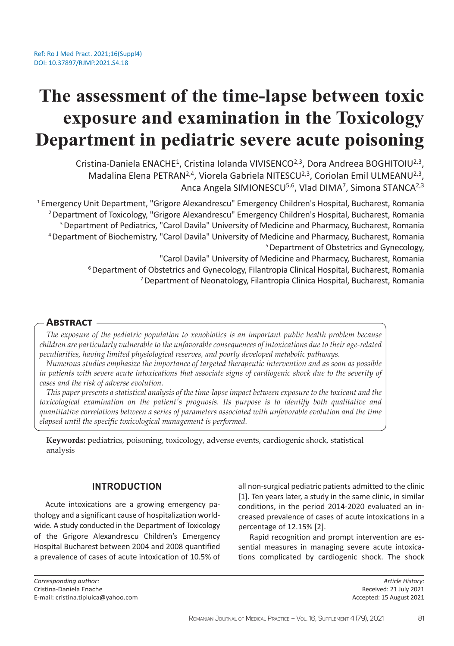# **The assessment of the time-lapse between toxic exposure and examination in the Toxicology Department in pediatric severe acute poisoning**

Cristina-Daniela ENACHE<sup>1</sup>, Cristina Iolanda VIVISENCO<sup>2,3</sup>, Dora Andreea BOGHITOIU<sup>2,3</sup>, Madalina Elena PETRAN<sup>2,4</sup>, Viorela Gabriela NITESCU<sup>2,3</sup>, Coriolan Emil ULMEANU<sup>2,3</sup>, Anca Angela SIMIONESCU<sup>5,6</sup>, Vlad DIMA<sup>7</sup>, Simona STANCA<sup>2,3</sup>

<sup>1</sup> Emergency Unit Department, "Grigore Alexandrescu" Emergency Children's Hospital, Bucharest, Romania <sup>2</sup> Department of Toxicology, "Grigore Alexandrescu" Emergency Children's Hospital, Bucharest, Romania <sup>3</sup> Department of Pediatrics, "Carol Davila" University of Medicine and Pharmacy, Bucharest, Romania <sup>4</sup>Department of Biochemistry, "Carol Davila" University of Medicine and Pharmacy, Bucharest, Romania 5 Department of Obstetrics and Gynecology,

"Carol Davila" University of Medicine and Pharmacy, Bucharest, Romania

<sup>6</sup> Department of Obstetrics and Gynecology, Filantropia Clinical Hospital, Bucharest, Romania

7 Department of Neonatology, Filantropia Clinica Hospital, Bucharest, Romania

# **Abstract**

*The exposure of the pediatric population to xenobiotics is an important public health problem because children are particularly vulnerable to the unfavorable consequences of intoxications due to their age-related peculiarities, having limited physiological reserves, and poorly developed metabolic pathways.* 

*Numerous studies emphasize the importance of targeted therapeutic intervention and as soon as possible in patients with severe acute intoxications that associate signs of cardiogenic shock due to the severity of cases and the risk of adverse evolution.* 

*This paper presents a statistical analysis of the time-lapse impact between exposure to the toxicant and the toxicological examination on the patient's prognosis. Its purpose is to identify both qualitative and quantitative correlations between a series of parameters associated with unfavorable evolution and the time elapsed until the specific toxicological management is performed.*

**Keywords:** pediatrics, poisoning, toxicology, adverse events, cardiogenic shock, statistical analysis

# **INTRODUCTION**

Acute intoxications are a growing emergency pathology and a significant cause of hospitalization worldwide. A study conducted in the Department of Toxicology of the Grigore Alexandrescu Children's Emergency Hospital Bucharest between 2004 and 2008 quantified a prevalence of cases of acute intoxication of 10.5% of all non-surgical pediatric patients admitted to the clinic [1]. Ten years later, a study in the same clinic, in similar conditions, in the period 2014-2020 evaluated an increased prevalence of cases of acute intoxications in a percentage of 12.15% [2].

Rapid recognition and prompt intervention are essential measures in managing severe acute intoxications complicated by cardiogenic shock. The shock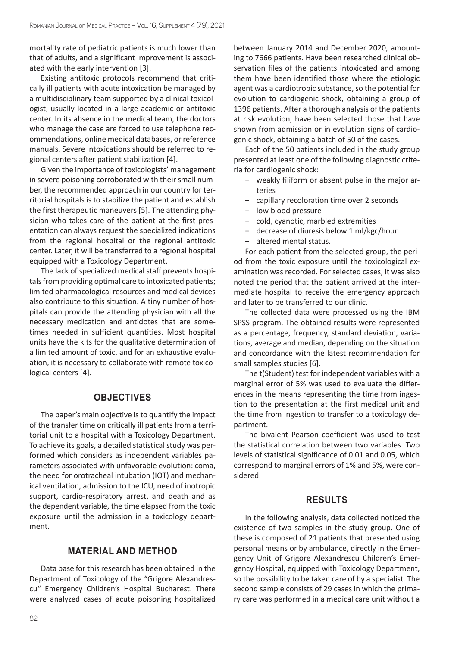mortality rate of pediatric patients is much lower than that of adults, and a significant improvement is associated with the early intervention [3].

Existing antitoxic protocols recommend that critically ill patients with acute intoxication be managed by a multidisciplinary team supported by a clinical toxicologist, usually located in a large academic or antitoxic center. In its absence in the medical team, the doctors who manage the case are forced to use telephone recommendations, online medical databases, or reference manuals. Severe intoxications should be referred to regional centers after patient stabilization [4].

Given the importance of toxicologists' management in severe poisoning corroborated with their small number, the recommended approach in our country for territorial hospitals is to stabilize the patient and establish the first therapeutic maneuvers [5]. The attending physician who takes care of the patient at the first presentation can always request the specialized indications from the regional hospital or the regional antitoxic center. Later, it will be transferred to a regional hospital equipped with a Toxicology Department.

The lack of specialized medical staff prevents hospitals from providing optimal care to intoxicated patients; limited pharmacological resources and medical devices also contribute to this situation. A tiny number of hospitals can provide the attending physician with all the necessary medication and antidotes that are sometimes needed in sufficient quantities. Most hospital units have the kits for the qualitative determination of a limited amount of toxic, and for an exhaustive evaluation, it is necessary to collaborate with remote toxicological centers [4].

# **OBJECTIVES**

The paper's main objective is to quantify the impact of the transfer time on critically ill patients from a territorial unit to a hospital with a Toxicology Department. To achieve its goals, a detailed statistical study was performed which considers as independent variables parameters associated with unfavorable evolution: coma, the need for orotracheal intubation (IOT) and mechanical ventilation, admission to the ICU, need of inotropic support, cardio-respiratory arrest, and death and as the dependent variable, the time elapsed from the toxic exposure until the admission in a toxicology department.

# **MATERIAL AND METHOD**

Data base for this research has been obtained in the Department of Toxicology of the "Grigore Alexandrescu" Emergency Children's Hospital Bucharest. There were analyzed cases of acute poisoning hospitalized between January 2014 and December 2020, amounting to 7666 patients. Have been researched clinical observation files of the patients intoxicated and among them have been identified those where the etiologic agent was a cardiotropic substance, so the potential for evolution to cardiogenic shock, obtaining a group of 1396 patients. After a thorough analysis of the patients at risk evolution, have been selected those that have shown from admission or in evolution signs of cardiogenic shock, obtaining a batch of 50 of the cases.

Each of the 50 patients included in the study group presented at least one of the following diagnostic criteria for cardiogenic shock:

- − weakly filiform or absent pulse in the major arteries
- − capillary recoloration time over 2 seconds
- − low blood pressure
- − cold, cyanotic, marbled extremities
- − decrease of diuresis below 1 ml/kgc/hour
	- − altered mental status.

For each patient from the selected group, the period from the toxic exposure until the toxicological examination was recorded. For selected cases, it was also noted the period that the patient arrived at the intermediate hospital to receive the emergency approach and later to be transferred to our clinic.

The collected data were processed using the IBM SPSS program. The obtained results were represented as a percentage, frequency, standard deviation, variations, average and median, depending on the situation and concordance with the latest recommendation for small samples studies [6].

The t(Student) test for independent variables with a marginal error of 5% was used to evaluate the differences in the means representing the time from ingestion to the presentation at the first medical unit and the time from ingestion to transfer to a toxicology department.

The bivalent Pearson coefficient was used to test the statistical correlation between two variables. Two levels of statistical significance of 0.01 and 0.05, which correspond to marginal errors of 1% and 5%, were considered.

# **RESULTS**

In the following analysis, data collected noticed the existence of two samples in the study group. One of these is composed of 21 patients that presented using personal means or by ambulance, directly in the Emergency Unit of Grigore Alexandrescu Children's Emergency Hospital, equipped with Toxicology Department, so the possibility to be taken care of by a specialist. The second sample consists of 29 cases in which the primary care was performed in a medical care unit without a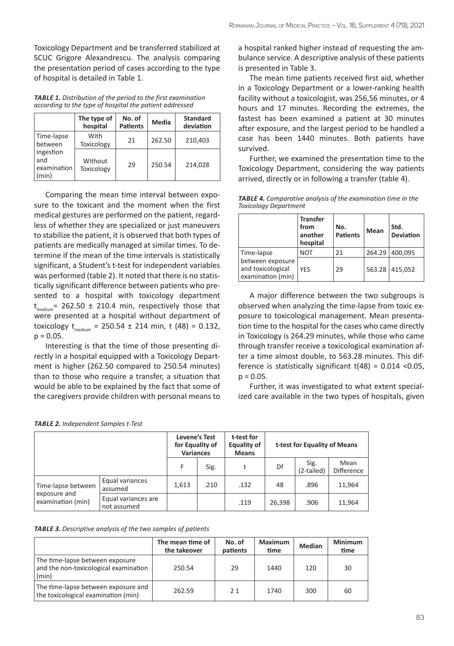Toxicology Department and be transferred stabilized at SCUC Grigore Alexandrescu. The analysis comparing the presentation period of cases according to the type of hospital is detailed in Table 1.

*TABLE 1. Distribution of the period to the first examination according to the type of hospital the patient addressed*

|                                         | The type of<br>hospital      | No. of<br><b>Patients</b> | Media  | <b>Standard</b><br>deviation |
|-----------------------------------------|------------------------------|---------------------------|--------|------------------------------|
| Time-lapse<br>between                   | With<br><b>Toxicology</b>    | 21                        | 262.50 | 210,403                      |
| ingestion<br>and<br>examination<br>min) | Without<br><b>Toxicology</b> | 29                        | 250.54 | 214,028                      |

Comparing the mean time interval between exposure to the toxicant and the moment when the first medical gestures are performed on the patient, regardless of whether they are specialized or just maneuvers to stabilize the patient, it is observed that both types of patients are medically managed at similar times. To determine if the mean of the time intervals is statistically significant, a Student's t-test for independent variables was performed (table 2). It noted that there is no statistically significant difference between patients who presented to a hospital with toxicology department  $t_{\text{medium}}$  = 262.50 ± 210.4 min, respectively those that were presented at a hospital without department of toxicology  $t_{\text{medium}} = 250.54 \pm 214$  min, t (48) = 0.132,  $p = 0.05$ .

Interesting is that the time of those presenting directly in a hospital equipped with a Toxicology Department is higher (262.50 compared to 250.54 minutes) than to those who require a transfer, a situation that would be able to be explained by the fact that some of the caregivers provide children with personal means to

| <b>TABLE 2.</b> Independent Samples t-Test |
|--------------------------------------------|
|--------------------------------------------|

|                                                         |                                    | <b>Levene's Test</b><br>for Equality of<br><b>Variances</b> |      | t-test for<br><b>Equality of</b><br><b>Means</b> | t-test for Equality of Means |                    |                           |
|---------------------------------------------------------|------------------------------------|-------------------------------------------------------------|------|--------------------------------------------------|------------------------------|--------------------|---------------------------|
|                                                         |                                    | F                                                           | Sig. | t                                                | Df                           | Sig.<br>(2-tailed) | Mean<br><b>Difference</b> |
| Time-lapse between<br>exposure and<br>examination (min) | Equal variances<br>assumed         | 1,613                                                       | .210 | .132                                             | 48                           | .896               | 11,964                    |
|                                                         | Equal variances are<br>not assumed |                                                             |      | .119                                             | 26.398                       | .906               | 11,964                    |

*TABLE 3. Descriptive analysis of the two samples of patients*

|                                                                                   | The mean time of<br>the takeover | No. of<br>patients | <b>Maximum</b><br>time | <b>Median</b> | <b>Minimum</b><br>time |
|-----------------------------------------------------------------------------------|----------------------------------|--------------------|------------------------|---------------|------------------------|
| The time-lapse between exposure<br>and the non-toxicological examination<br>(min) | 250.54                           | 29                 | 1440                   | 120           | 30                     |
| The time-lapse between exposure and<br>the toxicological examination (min)        | 262.59                           | 21                 | 1740                   | 300           | 60                     |

a hospital ranked higher instead of requesting the ambulance service. A descriptive analysis of these patients is presented in Table 3.

The mean time patients received first aid, whether in a Toxicology Department or a lower-ranking health facility without a toxicologist, was 256,56 minutes, or 4 hours and 17 minutes. Recording the extremes, the fastest has been examined a patient at 30 minutes after exposure, and the largest period to be handled a case has been 1440 minutes. Both patients have survived.

Further, we examined the presentation time to the Toxicology Department, considering the way patients arrived, directly or in following a transfer (table 4).

*TABLE 4. Comparative analysis of the examination time in the Toxicology Department*

|                                                            | <b>Transfer</b><br>from<br>another<br>hospital | No.<br><b>Patients</b> | <b>Mean</b> | Std.<br><b>Deviation</b> |
|------------------------------------------------------------|------------------------------------------------|------------------------|-------------|--------------------------|
| Time-lapse                                                 | <b>NOT</b>                                     | 21                     | 264.29      | 400.095                  |
| between exposure<br>and toxicological<br>examination (min) | <b>YFS</b>                                     | 29                     |             | 563.28 415,052           |

A major difference between the two subgroups is observed when analyzing the time-lapse from toxic exposure to toxicological management. Mean presentation time to the hospital for the cases who came directly in Toxicology is 264.29 minutes, while those who came through transfer receive a toxicological examination after a time almost double, to 563.28 minutes. This difference is statistically significant  $t(48) = 0.014$  <0.05,  $p = 0.05$ .

Further, it was investigated to what extent specialized care available in the two types of hospitals, given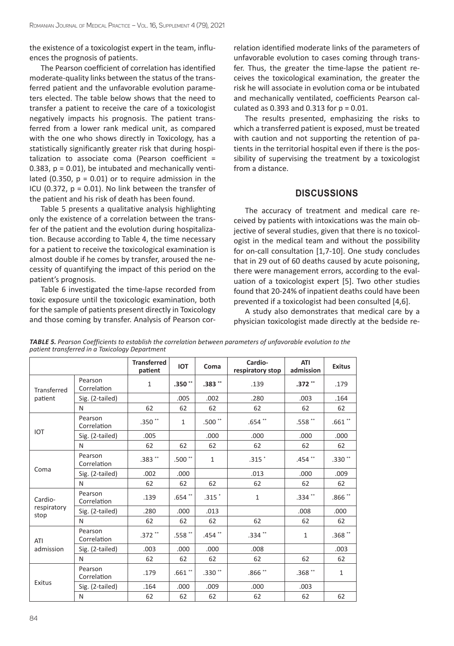the existence of a toxicologist expert in the team, influences the prognosis of patients.

The Pearson coefficient of correlation has identified moderate-quality links between the status of the transferred patient and the unfavorable evolution parameters elected. The table below shows that the need to transfer a patient to receive the care of a toxicologist negatively impacts his prognosis. The patient transferred from a lower rank medical unit, as compared with the one who shows directly in Toxicology, has a statistically significantly greater risk that during hospitalization to associate coma (Pearson coefficient = 0.383,  $p = 0.01$ ), be intubated and mechanically ventilated (0.350,  $p = 0.01$ ) or to require admission in the ICU (0.372,  $p = 0.01$ ). No link between the transfer of the patient and his risk of death has been found.

Table 5 presents a qualitative analysis highlighting only the existence of a correlation between the transfer of the patient and the evolution during hospitalization. Because according to Table 4, the time necessary for a patient to receive the toxicological examination is almost double if he comes by transfer, aroused the necessity of quantifying the impact of this period on the patient's prognosis.

Table 6 investigated the time-lapse recorded from toxic exposure until the toxicologic examination, both for the sample of patients present directly in Toxicology and those coming by transfer. Analysis of Pearson correlation identified moderate links of the parameters of unfavorable evolution to cases coming through transfer. Thus, the greater the time-lapse the patient receives the toxicological examination, the greater the risk he will associate in evolution coma or be intubated and mechanically ventilated, coefficients Pearson calculated as 0.393 and 0.313 for  $p = 0.01$ .

The results presented, emphasizing the risks to which a transferred patient is exposed, must be treated with caution and not supporting the retention of patients in the territorial hospital even if there is the possibility of supervising the treatment by a toxicologist from a distance.

# **DISCUSSIONS**

The accuracy of treatment and medical care received by patients with intoxications was the main objective of several studies, given that there is no toxicologist in the medical team and without the possibility for on-call consultation [1,7-10]. One study concludes that in 29 out of 60 deaths caused by acute poisoning, there were management errors, according to the evaluation of a toxicologist expert [5]. Two other studies found that 20-24% of inpatient deaths could have been prevented if a toxicologist had been consulted [4,6].

A study also demonstrates that medical care by a physician toxicologist made directly at the bedside re-

|                     |                        | <b>Transferred</b><br>patient | <b>IOT</b>           | Coma         | Cardio-<br>respiratory stop | <b>ATI</b><br>admission | <b>Exitus</b>        |
|---------------------|------------------------|-------------------------------|----------------------|--------------|-----------------------------|-------------------------|----------------------|
| Transferred         | Pearson<br>Correlation | $\mathbf{1}$                  | .350 $"$             | $.383**$     | .139                        | .372 **                 | .179                 |
| patient             | Sig. (2-tailed)        |                               | .005                 | .002         | .280                        | .003                    | .164                 |
|                     | N                      | 62                            | 62                   | 62           | 62                          | 62                      | 62                   |
|                     | Pearson<br>Correlation | $.350**$                      | $\mathbf{1}$         | .500 $"$     | $.654$ **                   | .558 $^{\ast\ast}$      | .661 $^{\ast\ast}$   |
| <b>IOT</b>          | Sig. (2-tailed)        | .005                          |                      | .000         | .000                        | .000                    | .000                 |
|                     | N                      | 62                            | 62                   | 62           | 62                          | 62                      | 62                   |
|                     | Pearson<br>Correlation | $.383**$                      | .500 $^{\ast\ast}$   | $\mathbf{1}$ | $.315$ $*$                  | .454 $*$                | .330 $^{\ast\ast}$   |
| Coma                | Sig. (2-tailed)        | .002                          | .000                 |              | .013                        | .000                    | .009                 |
|                     | N                      | 62                            | 62                   | 62           | 62                          | 62                      | 62                   |
| Cardio-             | Pearson<br>Correlation | .139                          | .654 $^{\ast\ast}$   | $.315$ $*$   | $\mathbf{1}$                | .334 $**$               | $.866$ $^{\ast\ast}$ |
| respiratory<br>stop | Sig. (2-tailed)        | .280                          | .000                 | .013         |                             | .008                    | .000                 |
|                     | N                      | 62                            | 62                   | 62           | 62                          | 62                      | 62                   |
| ATI                 | Pearson<br>Correlation | $.372$ **                     | .558 $^{\ast\ast}$   | .454 **      | .334 **                     | $\mathbf{1}$            | .368 $^{\ast\ast}$   |
| admission           | Sig. (2-tailed)        | .003                          | .000                 | .000         | .008                        |                         | .003                 |
|                     | N                      | 62                            | 62                   | 62           | 62                          | 62                      | 62                   |
|                     | Pearson<br>Correlation | .179                          | $.661$ $^{\ast\ast}$ | $.330**$     | .866**                      | .368 $^{\ast\ast}$      | $\mathbf{1}$         |
| Exitus              | Sig. (2-tailed)        | .164                          | .000                 | .009         | .000<br>.003                |                         |                      |
|                     | N                      | 62                            | 62                   | 62           | 62                          | 62                      | 62                   |

*TABLE 5. Pearson Coefficients to establish the correlation between parameters of unfavorable evolution to the patient transferred in a Toxicology Department*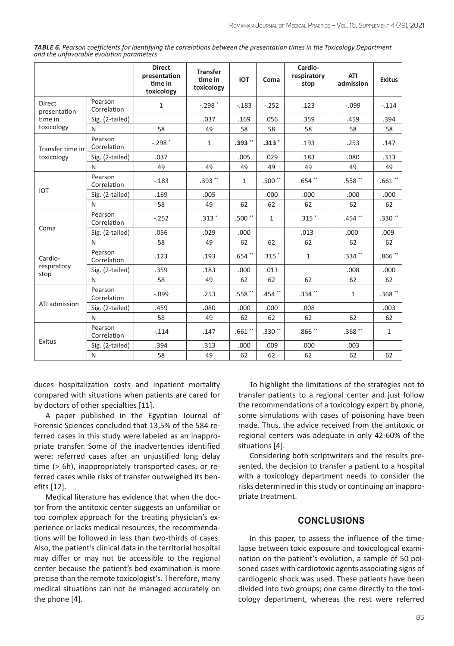| <b>TABLE 6.</b> Pearson coefficients for identifying the correlations between the presentation times in the Toxicology Department |  |
|-----------------------------------------------------------------------------------------------------------------------------------|--|
| and the unfavorable evolution parameters                                                                                          |  |

|                               |                        | <b>Direct</b><br>presentation<br>time in<br>toxicology | <b>Transfer</b><br>time in<br>toxicology | <b>IOT</b>         | Coma         | Cardio-<br>respiratory<br>stop | <b>ATI</b><br>admission | <b>Exitus</b>        |
|-------------------------------|------------------------|--------------------------------------------------------|------------------------------------------|--------------------|--------------|--------------------------------|-------------------------|----------------------|
| <b>Direct</b><br>presentation | Pearson<br>Correlation | $\mathbf{1}$                                           | $-.298$ $*$                              | $-.183$            | $-.252$      | .123                           | $-.099$                 | $-.114$              |
| time in                       | Sig. (2-tailed)        |                                                        | .037                                     | .169               | .056         | .359                           | .459                    | .394                 |
| toxicology                    | N                      | 58                                                     | 49                                       | 58                 | 58           | 58                             | 58                      | 58                   |
| Transfer time in              | Pearson<br>Correlation | $-.298$ $*$                                            | $\mathbf{1}$                             | $.393$ **          | $.313*$      | .193                           | .253                    | .147                 |
| toxicology                    | Sig. (2-tailed)        | .037                                                   |                                          | .005               | .029         | .183                           | .080                    | .313                 |
|                               | N                      | 49                                                     | 49                                       | 49                 | 49           | 49                             | 49                      | 49                   |
|                               | Pearson<br>Correlation | $-0.183$                                               | .393**                                   | $\mathbf{1}$       | $.500**$     | $.654$ **                      | .558 $^{\ast\ast}$      | $.661$ $^{\ast\ast}$ |
| <b>IOT</b>                    | Sig. (2-tailed)        | .169                                                   | .005                                     |                    | .000         | .000                           | .000                    | .000                 |
|                               | N                      | 58                                                     | 49                                       | 62                 | 62           | 62                             | 62                      | 62                   |
|                               | Pearson<br>Correlation | $-.252$                                                | $.313*$                                  | .500 $"$           | $\mathbf{1}$ | $.315$ <sup>*</sup>            | .454**                  | $.330**$             |
| Coma                          | Sig. (2-tailed)        | .056                                                   | .029                                     | .000               |              | .013                           | .000                    | .009                 |
|                               | N                      | 58                                                     | 49                                       | 62                 | 62           | 62                             | 62                      | 62                   |
| Cardio-                       | Pearson<br>Correlation | .123                                                   | .193                                     | .654 $**$          | $.315$ $*$   | $\mathbf{1}$                   | .334 **                 | .866 $**$            |
| respiratory<br>stop           | Sig. (2-tailed)        | .359                                                   | .183                                     | .000               | .013         |                                | .008                    | .000                 |
|                               | N                      | 58                                                     | 49                                       | 62                 | 62           | 62                             | 62                      | 62                   |
| ATI admission                 | Pearson<br>Correlation | $-.099$                                                | .253                                     | .558 $^{\ast\ast}$ | .454 **      | $.334$ **                      | $\mathbf{1}$            | .368 $**$            |
|                               | Sig. (2-tailed)        | .459                                                   | .080                                     | .000               | .000         | .008                           |                         | .003                 |
|                               | N                      | 58                                                     | 49                                       | 62                 | 62           | 62                             | 62                      | 62                   |
|                               | Pearson<br>Correlation | $-.114$                                                | .147                                     | .661 $^{\ast\ast}$ | $.330**$     | .866**                         | .368**                  | $\mathbf{1}$         |
| Exitus                        | Sig. (2-tailed)        | .394                                                   | .313                                     | .000               | .009         | .000                           | .003                    |                      |
|                               | N                      | 58                                                     | 49                                       | 62                 | 62           | 62                             | 62                      | 62                   |

duces hospitalization costs and inpatient mortality compared with situations when patients are cared for by doctors of other specialties [11].

A paper published in the Egyptian Journal of Forensic Sciences concluded that 13,5% of the 584 referred cases in this study were labeled as an inappropriate transfer. Some of the inadvertencies identified were: referred cases after an unjustified long delay time (> 6h), inappropriately transported cases, or referred cases while risks of transfer outweighed its benefits [12].

Medical literature has evidence that when the doctor from the antitoxic center suggests an unfamiliar or too complex approach for the treating physician's experience or lacks medical resources, the recommendations will be followed in less than two-thirds of cases. Also, the patient's clinical data in the territorial hospital may differ or may not be accessible to the regional center because the patient's bed examination is more precise than the remote toxicologist's. Therefore, many medical situations can not be managed accurately on the phone [4].

To highlight the limitations of the strategies not to transfer patients to a regional center and just follow the recommendations of a toxicology expert by phone, some simulations with cases of poisoning have been made. Thus, the advice received from the antitoxic or regional centers was adequate in only 42-60% of the situations [4].

Considering both scriptwriters and the results presented, the decision to transfer a patient to a hospital with a toxicology department needs to consider the risks determined in this study or continuing an inappropriate treatment.

### **CONCLUSIONS**

In this paper, to assess the influence of the timelapse between toxic exposure and toxicological examination on the patient's evolution, a sample of 50 poisoned cases with cardiotoxic agents associating signs of cardiogenic shock was used. These patients have been divided into two groups; one came directly to the toxicology department, whereas the rest were referred